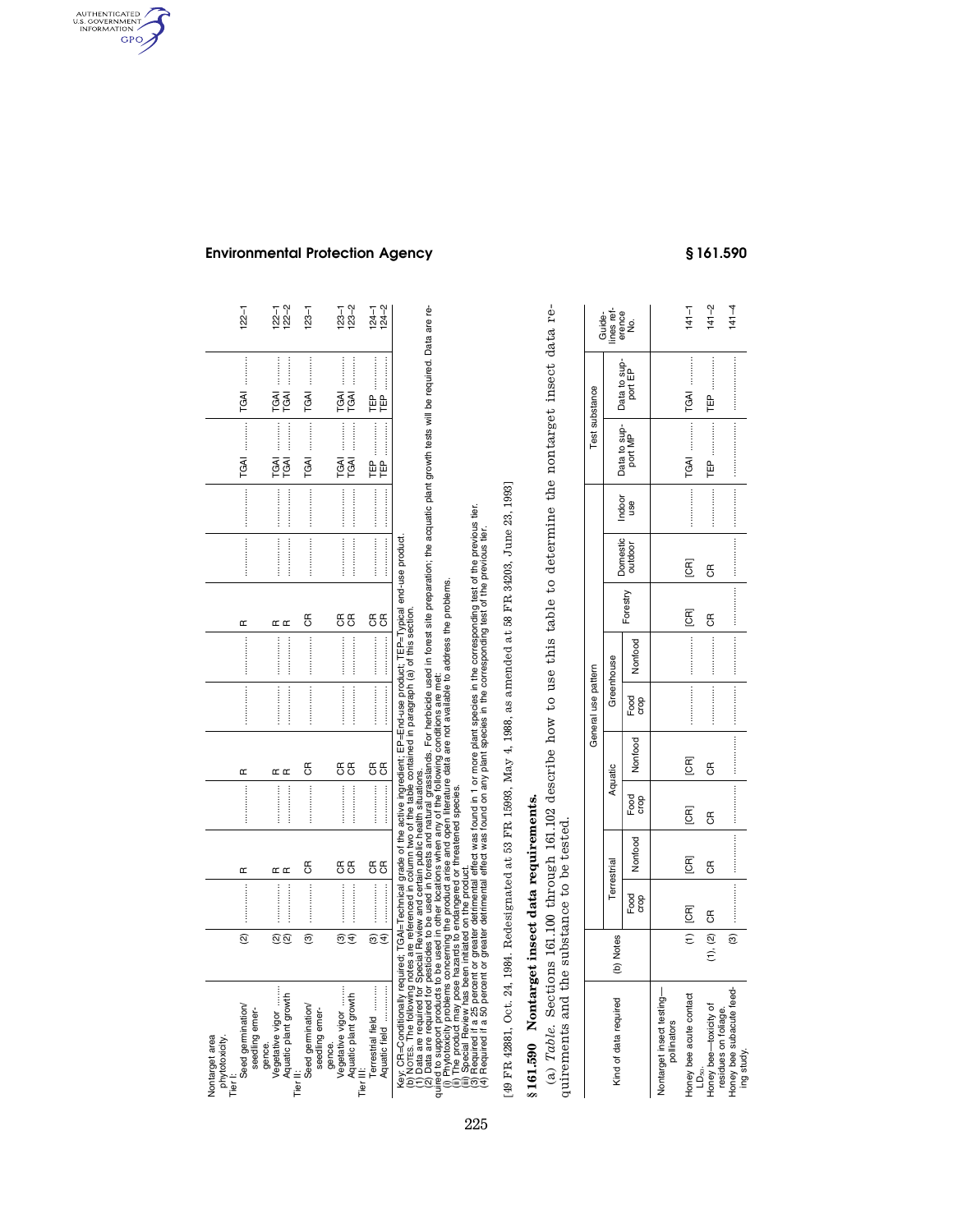| Nontarget area<br>phytotoxicity<br>Tier I                                                                                                                                                                                                                                                                                                                                                                                                                                                                                                                                                                                                                                                                                                                                                                                                                                                         |                          |                                                                                                                                                                                                                                                                                                                                                                                                                                                                                                                                               |                   |                |                   |                                  |                                   |                             |          |                                                                                                                                                                                                                                                                                                                                                                                                                                                                                                                             |                                      |                      |                        |
|---------------------------------------------------------------------------------------------------------------------------------------------------------------------------------------------------------------------------------------------------------------------------------------------------------------------------------------------------------------------------------------------------------------------------------------------------------------------------------------------------------------------------------------------------------------------------------------------------------------------------------------------------------------------------------------------------------------------------------------------------------------------------------------------------------------------------------------------------------------------------------------------------|--------------------------|-----------------------------------------------------------------------------------------------------------------------------------------------------------------------------------------------------------------------------------------------------------------------------------------------------------------------------------------------------------------------------------------------------------------------------------------------------------------------------------------------------------------------------------------------|-------------------|----------------|-------------------|----------------------------------|-----------------------------------|-----------------------------|----------|-----------------------------------------------------------------------------------------------------------------------------------------------------------------------------------------------------------------------------------------------------------------------------------------------------------------------------------------------------------------------------------------------------------------------------------------------------------------------------------------------------------------------------|--------------------------------------|----------------------|------------------------|
| Seed germination<br>seedling emer-                                                                                                                                                                                                                                                                                                                                                                                                                                                                                                                                                                                                                                                                                                                                                                                                                                                                | $\widehat{\infty}$       |                                                                                                                                                                                                                                                                                                                                                                                                                                                                                                                                               | Œ                 |                | Œ                 |                                  |                                   | Œ                           |          | $\begin{minipage}{0.9\linewidth} \begin{tabular}{l} \toprule \multicolumn{3}{c}{\textbf{0.9\linewidth}} \begin{tabular}{l} \multicolumn{3}{c}{\textbf{0.9\linewidth}} \end{tabular} \end{minipage} \end{minipage} \begin{minipage}{0.9\linewidth} \begin{tabular}{l} \multicolumn{3}{c}{\textbf{0.9\linewidth}} \end{tabular} \end{minipage} \end{minipage} \begin{minipage}{0.9\linewidth} \begin{tabular}{l} \multicolumn{3}{c}{\textbf{0.9\linewidth}} \end{tabular} \end{minipage} \end{minipage} \begin{minipage}{0.9$ | TGAI                                 | TGAI                 | $122 - 1$              |
| Vegetative vigor<br>Aquatic plant growth<br>gence.<br>Tier <sup>-</sup>                                                                                                                                                                                                                                                                                                                                                                                                                                                                                                                                                                                                                                                                                                                                                                                                                           | <u>ର ର</u>               |                                                                                                                                                                                                                                                                                                                                                                                                                                                                                                                                               | $\simeq$ $\simeq$ |                | $\simeq$ $\simeq$ | :<br>:<br>:<br>: : : : : : : : : | :<br>:<br>: : : : : : : : : :<br> | $\alpha$                    |          | <br>                                                                                                                                                                                                                                                                                                                                                                                                                                                                                                                        | <br><br>TGAI<br><b>TGAI</b>          | <br><br>TGAI<br>TGAI | $122 - 2$<br>$122 - 1$ |
| Seed germination<br>seedling emer-                                                                                                                                                                                                                                                                                                                                                                                                                                                                                                                                                                                                                                                                                                                                                                                                                                                                | ම                        |                                                                                                                                                                                                                                                                                                                                                                                                                                                                                                                                               | $\mathfrak{g}$    |                | $\overline{c}$    |                                  |                                   | E                           |          |                                                                                                                                                                                                                                                                                                                                                                                                                                                                                                                             | <br>TGAI                             | <br><b>TGAI</b>      | $123 - 1$              |
| Vegetative vigor<br>Aquatic plant growth<br>gence.<br>Tier <sup>1</sup>                                                                                                                                                                                                                                                                                                                                                                                                                                                                                                                                                                                                                                                                                                                                                                                                                           | $\widehat{\mathfrak{G}}$ |                                                                                                                                                                                                                                                                                                                                                                                                                                                                                                                                               | <b>წ წ</b>        |                | $\mathfrak{g}$    |                                  |                                   | 55                          | <br>     |                                                                                                                                                                                                                                                                                                                                                                                                                                                                                                                             | :<br>:<br>:<br>:<br><br>TGAI<br>TGAI | <br>TGAI<br>TGAI     | $123 - 2$<br>$123 - 2$ |
| <br>Terrestrial field<br>Aquatic field                                                                                                                                                                                                                                                                                                                                                                                                                                                                                                                                                                                                                                                                                                                                                                                                                                                            | $\widehat{\mathfrak{G}}$ | $\label{eq:conformal} \begin{minipage}{0.9\linewidth} \begin{minipage}{0.9\linewidth} \begin{minipage}{0.9\linewidth} \end{minipage} \begin{minipage}{0.9\linewidth} \begin{minipage}{0.9\linewidth} \end{minipage} \begin{minipage}{0.9\linewidth} \end{minipage} \begin{minipage}{0.9\linewidth} \end{minipage} \begin{minipage}{0.9\linewidth} \begin{minipage}{0.9\linewidth} \end{minipage} \begin{minipage}{0.9\linewidth} \end{minipage} \begin{minipage}{0.9\linewidth} \end{minipage} \begin{minipage}{0.9\linewidth} \end{minipage$ | <b>წ წ</b>        |                | $\frac{a}{c}$     |                                  |                                   | 55                          |          |                                                                                                                                                                                                                                                                                                                                                                                                                                                                                                                             | <br>留日                               | <br>曾                | $124 - 2$<br>$124 - 2$ |
| (2) Data are required for pesticles to be used in forests and natural grasslands. For herbicide used in forest site preparation; the acquatic plant growth tests will be required. Data are re-<br>quired to support products to<br>Required if a 25 percent or greater detrimental effect was found in 1 or more plant species in the corresponding fest of the previous tier.<br>Required if a 50 percent or greater detrimental effect was found on any plant spec<br>NOTES. The following notes are referenced in column two of the table contained in paragraph (a) of this section.<br>السباط (Asy: CR=Conditionally required; TGAI=Technical grade of the active ingredient; EP=End-use product;<br>(b) NOTES. The following notes are referenced in column two of the table contained in paragraph (a) or (1)<br>(1) Da<br>Special Review has been initiated on the product.<br><u>මර</u> |                          |                                                                                                                                                                                                                                                                                                                                                                                                                                                                                                                                               |                   |                |                   |                                  |                                   | TEP=Typical end-use product |          |                                                                                                                                                                                                                                                                                                                                                                                                                                                                                                                             |                                      |                      |                        |
| :49 FR 42881, Oct. 24, 1984. Redesignated at 53 FR 15993, May 4, 1988, as amended at 58 FR 34203, June 23, 1993]                                                                                                                                                                                                                                                                                                                                                                                                                                                                                                                                                                                                                                                                                                                                                                                  |                          |                                                                                                                                                                                                                                                                                                                                                                                                                                                                                                                                               |                   |                |                   |                                  |                                   |                             |          |                                                                                                                                                                                                                                                                                                                                                                                                                                                                                                                             |                                      |                      |                        |
| § 161.590 Nontarget insect data requirements.                                                                                                                                                                                                                                                                                                                                                                                                                                                                                                                                                                                                                                                                                                                                                                                                                                                     |                          |                                                                                                                                                                                                                                                                                                                                                                                                                                                                                                                                               |                   |                |                   |                                  |                                   |                             |          |                                                                                                                                                                                                                                                                                                                                                                                                                                                                                                                             |                                      |                      |                        |
| (a) Table. Sections 161.100 through 161.102 describe how to use this table to determine the nontarget insect data re-<br>quirements and the substance to be tested                                                                                                                                                                                                                                                                                                                                                                                                                                                                                                                                                                                                                                                                                                                                |                          |                                                                                                                                                                                                                                                                                                                                                                                                                                                                                                                                               |                   |                |                   |                                  |                                   |                             |          |                                                                                                                                                                                                                                                                                                                                                                                                                                                                                                                             |                                      |                      |                        |
|                                                                                                                                                                                                                                                                                                                                                                                                                                                                                                                                                                                                                                                                                                                                                                                                                                                                                                   |                          |                                                                                                                                                                                                                                                                                                                                                                                                                                                                                                                                               |                   |                |                   | General use pattern              |                                   |                             |          |                                                                                                                                                                                                                                                                                                                                                                                                                                                                                                                             |                                      | Test substance       | Guide-                 |
| Kind of data required                                                                                                                                                                                                                                                                                                                                                                                                                                                                                                                                                                                                                                                                                                                                                                                                                                                                             | (b) Notes                | Terrestrial                                                                                                                                                                                                                                                                                                                                                                                                                                                                                                                                   |                   |                | Aquatic           | Greenhouse                       |                                   |                             | Domestic | Indoor                                                                                                                                                                                                                                                                                                                                                                                                                                                                                                                      |                                      | Data to sup-         | ines ref<br>erence     |
|                                                                                                                                                                                                                                                                                                                                                                                                                                                                                                                                                                                                                                                                                                                                                                                                                                                                                                   |                          | Food<br>crop                                                                                                                                                                                                                                                                                                                                                                                                                                                                                                                                  | Nonfood           | Food<br>crop   | Nonfood           | Food<br>crop                     | Nonfood                           | Forestry                    | outdoor  | use                                                                                                                                                                                                                                                                                                                                                                                                                                                                                                                         | Data to sup-<br>port MP              | port EP              | ġ                      |
| Nontarget insect testing-<br>pollinators                                                                                                                                                                                                                                                                                                                                                                                                                                                                                                                                                                                                                                                                                                                                                                                                                                                          |                          |                                                                                                                                                                                                                                                                                                                                                                                                                                                                                                                                               |                   |                |                   |                                  |                                   |                             |          |                                                                                                                                                                                                                                                                                                                                                                                                                                                                                                                             |                                      |                      |                        |
| Honey bee acute contact<br>$D_{50}$                                                                                                                                                                                                                                                                                                                                                                                                                                                                                                                                                                                                                                                                                                                                                                                                                                                               | $\widehat{\tau}$         | E                                                                                                                                                                                                                                                                                                                                                                                                                                                                                                                                             | E                 | <b>EQ</b>      | <b>EC</b>         |                                  |                                   | <b>ECR</b>                  | E        |                                                                                                                                                                                                                                                                                                                                                                                                                                                                                                                             | <br>TGAI                             | <br>TGAI             | $141 - 1$              |
| Honey bee-toxicity of                                                                                                                                                                                                                                                                                                                                                                                                                                                                                                                                                                                                                                                                                                                                                                                                                                                                             | (1), (2)                 | $\mathfrak{E}$                                                                                                                                                                                                                                                                                                                                                                                                                                                                                                                                | $\mathfrak{g}$    | $\mathfrak{g}$ | 6R                |                                  |                                   | 6                           | g        |                                                                                                                                                                                                                                                                                                                                                                                                                                                                                                                             | Ê                                    | 白                    | $141 - 2$              |
| Honey bee subacute feed-<br>residues on foliage.<br>ing study.                                                                                                                                                                                                                                                                                                                                                                                                                                                                                                                                                                                                                                                                                                                                                                                                                                    | $\widehat{\mathcal{O}}$  |                                                                                                                                                                                                                                                                                                                                                                                                                                                                                                                                               |                   |                |                   |                                  |                                   |                             |          |                                                                                                                                                                                                                                                                                                                                                                                                                                                                                                                             |                                      |                      | $141 - 4$              |

|                                                  |               |              |             |              |         | General use pattern |            |          |   |                                |                                                                | Test substance |                                       |
|--------------------------------------------------|---------------|--------------|-------------|--------------|---------|---------------------|------------|----------|---|--------------------------------|----------------------------------------------------------------|----------------|---------------------------------------|
| Kind of data required                            | (b) Notes     |              | Terrestrial |              | Aquatic |                     | Greenhouse |          |   |                                |                                                                |                | Guide-<br>lines ref-<br>erence<br>No. |
|                                                  |               | Food<br>crop | Jonfood     | Food<br>crop | Nonfood | Food<br>crop        | Nonfood    | Forestry |   | Domestic Indoor<br>outdoor use | Data to sup-<br>port MP port EP                                |                |                                       |
| Nontarget insect testing-                        |               |              |             |              |         |                     |            |          |   |                                |                                                                |                |                                       |
| Honey bee acute contact<br>$LD_{50}$ .           |               | $(1)$ $[CR]$ | E           | E            | E       |                     |            | E        | g |                                | $\frac{1}{1}$ GAI $\cdots$ $\cdots$ $\cdots$ $\cdots$ $\cdots$ |                | $141 - 1$                             |
| Honey bee-toxicity of                            | $(1), (2)$ CR |              | g           | g            | g       |                     |            | g        | g |                                |                                                                |                | $141 - 2$                             |
| Honey bee subacute feed-<br>residues on foliage. | $\frac{1}{3}$ |              |             |              |         |                     |            |          |   |                                |                                                                |                | $141 - 4$                             |

**Environmental Protection Agency § 161.590** 

AUTHENTICATED

 $GPO$